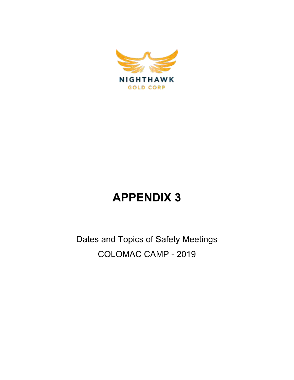

## **APPENDIX 3**

Dates and Topics of Safety Meetings COLOMAC CAMP - 2019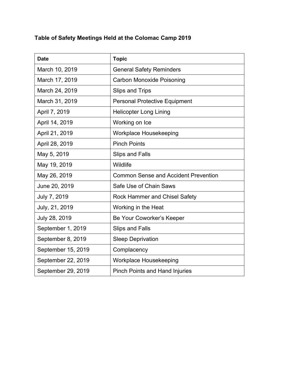## **Table of Safety Meetings Held at the Colomac Camp 2019**

| <b>Date</b>        | <b>Topic</b>                                |
|--------------------|---------------------------------------------|
| March 10, 2019     | <b>General Safety Reminders</b>             |
| March 17, 2019     | <b>Carbon Monoxide Poisoning</b>            |
| March 24, 2019     | <b>Slips and Trips</b>                      |
| March 31, 2019     | <b>Personal Protective Equipment</b>        |
| April 7, 2019      | <b>Helicopter Long Lining</b>               |
| April 14, 2019     | Working on Ice                              |
| April 21, 2019     | Workplace Housekeeping                      |
| April 28, 2019     | <b>Pinch Points</b>                         |
| May 5, 2019        | <b>Slips and Falls</b>                      |
| May 19, 2019       | Wildlife                                    |
| May 26, 2019       | <b>Common Sense and Accident Prevention</b> |
| June 20, 2019      | Safe Use of Chain Saws                      |
| July 7, 2019       | Rock Hammer and Chisel Safety               |
| July, 21, 2019     | Working in the Heat                         |
| July 28, 2019      | Be Your Coworker's Keeper                   |
| September 1, 2019  | <b>Slips and Falls</b>                      |
| September 8, 2019  | <b>Sleep Deprivation</b>                    |
| September 15, 2019 | Complacency                                 |
| September 22, 2019 | Workplace Housekeeping                      |
| September 29, 2019 | <b>Pinch Points and Hand Injuries</b>       |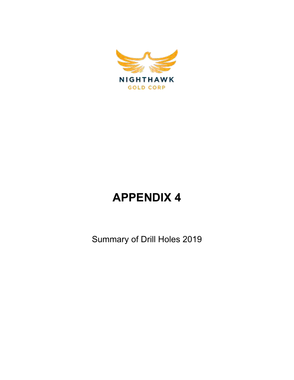

## **APPENDIX 4**

Summary of Drill Holes 2019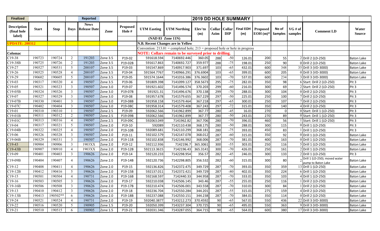| <b>Finalized</b>                            |              |             |                | <b>Reported</b>                  |          |                    |                    |                                                                                  | <b>2019 DD HOLE SUMMARY</b> |                |                      |                         |                               |                         |                    |                                                     |                   |
|---------------------------------------------|--------------|-------------|----------------|----------------------------------|----------|--------------------|--------------------|----------------------------------------------------------------------------------|-----------------------------|----------------|----------------------|-------------------------|-------------------------------|-------------------------|--------------------|-----------------------------------------------------|-------------------|
| <b>Description</b><br>(final hole<br>label) | <b>Start</b> | <b>Stop</b> |                | <b>News</b><br>Days Release Date | Zone     | Proposed<br>Hole # | <b>UTM Easting</b> | <b>UTM Northing</b>                                                              | Elev'tn<br>(m)              | Collar<br>Azim | Collar<br><b>DIP</b> | <b>Final EOH</b><br>(m) | <b>Proposed</b><br>$EOH(m)$ * | No of<br><b>Samples</b> | VG # of<br>samples | <b>Comment LD</b>                                   | Water<br>Source   |
|                                             |              |             |                |                                  |          |                    |                    | (NAD 83 Zone 11N)                                                                |                             |                |                      |                         |                               |                         |                    |                                                     |                   |
| <b>UPDATE: 200312</b>                       |              |             |                |                                  |          |                    |                    | N.B. Recent Changes are in Yellow                                                |                             |                |                      |                         |                               |                         |                    |                                                     |                   |
|                                             |              |             |                |                                  |          |                    |                    | Convention: $213.01$ = completed hole; $213$ = proposed hole or hole in progress |                             |                |                      |                         |                               |                         |                    |                                                     |                   |
| Colomac                                     |              |             |                |                                  |          |                    |                    | <b>NOTE: Collars remain to be surveyed prior to drilling.</b>                    |                             |                |                      |                         |                               |                         |                    |                                                     |                   |
| $C19-38$                                    | 190723       | 190724      | 2              | 191203                           | Zone 3.5 | P19-02             | 591618.594         | 7140692.446                                                                      | 360.05                      | 288            | $-50$                | 126.01                  | 200                           | 55                      |                    | 2 Drill 2 (LD-250)                                  | <b>Baton Lake</b> |
| $C19-38B$                                   | 190725       | 190726      | $\overline{2}$ | 191203                           | Zone 3.5 | P19-02B            | 591617.863         | 7140692.727                                                                      | 359.977                     | 288            | $-75$                | 198.01                  | 250                           | 90                      |                    | 0 Drill 2 (LD-250)                                  | <b>Baton Lake</b> |
| $C19-27$                                    | 190527       | 190531      | 5              | 200107                           | Zone 3.5 | P19-03             | 591547.869         | 7140917.903                                                                      | 371.697                     | 103            | $-65$                | 432.01                  | 600                           | $\overline{348}$        |                    | 35 Drill 3 (VD-3000)                                | <b>Baton Lake</b> |
| $C19-26$                                    | 190525       | 190528      | $\overline{4}$ | 200107                           | Zone 3.5 | P19-04             | 591564.7767        | 7140966.291                                                                      | 376.6904                    | 103            | $-65$                | 399.01                  | 600                           | 205                     |                    | 0 Drill 3 (VD-3000)                                 | <b>Baton Lake</b> |
| $C19-29$                                    | 190602       | 190605      | 5              | 200107                           | Zone 3.5 | P19-05             | 591574.1644        | 7141016.386                                                                      | 376.3602                    | 103            | $-70$                | 537.01                  | 600                           | 234                     |                    | Drill 3 (VD-3000)                                   | <b>Baton Lake</b> |
| $C19-03$                                    | 190317       | 190320      | $\overline{4}$ | 190507                           | Zone 3.5 | P19-06             | 591809.398         | 7141099.127                                                                      | 358.5673                    | 295            | $-75$                | 282.01                  | 350                           | 98                      |                    | 6 Start: Drill 2 (LD-250)                           | Pit <sub>3</sub>  |
| $C19-05$                                    | 190321       | 190323      | $\mathfrak{Z}$ | 190507                           | Zone 3.0 | P19-07             | 591921.602         | 7141496.574                                                                      | 370.203                     | 299            | $-60$                | 216.01                  | 300                           | 69                      |                    | 2 Start: Drill 2 (LD-250)                           | Pit 3             |
| $C19-05B$                                   | 190324       | 190326      | $\mathfrak{Z}$ | 190507                           | Zone 3.0 | P19-07B            | 591921.31          | 7141496.676                                                                      | 370.138                     | 299            | $-70$                | 288.01                  | 300                           | 104                     |                    | 0 Drill 2 (LD-250)                                  | Pit <sub>3</sub>  |
| $C19-07$                                    | 190327       | 190329      | $\mathbf{3}$   | 190507                           | Zone 3.0 | P19-08             | 591957.678         | 7141579.655                                                                      | 367.229                     | 297            | $-50$                | 225.01                  | 250                           | 100                     |                    | 7 Drill 2 (LD-250)                                  | Pit <sub>3</sub>  |
| C19-07B                                     | 190330       | 190401      | $\mathfrak{Z}$ | 190507                           | Zone 3.0 | P19-08B            | 591958.158         | 7141579.464                                                                      | 367.218                     | 297            | $-65$                | 300.01                  | 250                           | 107                     |                    | Drill 2 (LD-250)                                    | Pit <sub>3</sub>  |
| C <sub>19</sub> -07C                        | 190402       | 190404      | $\mathfrak{Z}$ | 190507                           | Zone 3.0 | P19-08C            | 591958.314         | 7141579.408                                                                      | 367.243                     | 297            | $-72$                | 315.01                  | 350                           | 140                     |                    | Drill 2 (LD-250)                                    | Pit <sub>3</sub>  |
| $C19-01$                                    | 190310       | 190310      | -1             | 190507                           | Zone 2.5 | P19-09             | 592062.566         | 7141962.899                                                                      | 367.77                      | 280            | $-45$                | 16.01                   | 270                           | $\mathbf 0$             |                    | 0 Start: Drill 1 (LD-250)                           | Pit <sub>3</sub>  |
| $C19-01B$                                   | 190311       | 190312      | $\overline{2}$ | 190507                           | Zone 2.5 | P19-09B            | 592062.566         | 7141962.899                                                                      | 367.77                      | 280            | $-50$                | 243.01                  | 270                           | 89                      |                    | 0 Start: Drill 1 (LD-250)                           | Pit <sub>3</sub>  |
| $C19-01C$                                   | 190313       | 190316      | $\overline{4}$ | 190507                           | Zone 2.5 | P19-09C            | 592063.049         | 7141962.82                                                                       | 367.706                     | 280            | $-70$                | 396.01                  | 460                           | 56                      |                    | Start: Drill 1 (LD-250)                             | Pit <sub>3</sub>  |
| $C19-04$                                    | 190317       | 190321      | 5              | 190507                           | Zone 2.0 | P19-10             | 592089             | 7142110.438                                                                      | 368.175                     | 280            | $-50$                | 288.01                  | 300                           | 115                     |                    | 0 Drill 1 (LD-250)                                  | Pit <sub>3</sub>  |
| $C19-04B$                                   | 190322       | 190325      | $\overline{4}$ | 190507                           | Zone 2.0 | P19-10B            | 592089.681         | 7142110.299                                                                      | 368.181                     | 280            | $-75$                | 393.01                  | 450                           | 83                      |                    | Drill 1 (LD-250)                                    | Pit <sub>3</sub>  |
| $C19-06$                                    | 190326       | 190328      | 3              | 190507                           | Zone 2.0 | P19-11             | 592102.579         | 7142147.078                                                                      | 368.012                     | 287            | $-60$                | 315.01                  | 350                           | 92                      |                    | 0 Drill 1 (LD-250)                                  | <b>Baton Lake</b> |
| $C19-06B$                                   | 190329       | 190331      | $\mathbf{3}$   | 190507                           | Zone 2.0 | P19-11B            | 592102.838         | 7142146.992                                                                      | 368.006                     | 287            | $-70$                | 381.01                  | 400                           | 163                     |                    | 0 Drill 1 (LD-250)                                  | <b>Baton Lake</b> |
| $C19-43$                                    | 190904       | 190906      | $\mathbf{3}$   | 1903XX                           | Zone 2.0 | P19-12             | 592112.936         | 7142196.7                                                                        | 365.3061                    | 300            | $-55$                | 303.01                  | 250                           | 116                     |                    | 5 Drill 1 (LD-250)                                  | <b>Baton Lake</b> |
| $C19-43B$                                   | 190907       | 190910      | $\overline{4}$ | 1903XX                           | Zone 2.0 | P19-12B            | 592113.3615        | 7142196.43                                                                       | 365.3141                    | 300            | $-70$                | 426.01                  | 250                           | 161                     |                    | 2 Drill 1 (LD-250)                                  | <b>Baton Lake</b> |
| $C19-09$                                    | 190401       | 190403      | 3              | 190626                           | Zone 2.0 | P19-14             | 592120.233         | 7142298.954                                                                      | 356.57                      | 282            | $-45$                | 246.01                  | 300                           | 133                     |                    | 2 Drill 1 (LD-250)                                  | Pit <sub>3</sub>  |
| $C19-09B$                                   | 190404       | 190407      | $\overline{4}$ | 190626                           | Zone 2.0 | P19-14B            | 592120.736         | 7142298.805                                                                      | 356.532                     | 282            | $-60$                | 315.01                  | 300                           | 80                      |                    | Drill 1 (LD-250); moved water<br>pump to Baton Lake | <b>Baton Lake</b> |
| $C19-12$                                    | 190408       | 190411      | $\overline{4}$ | 190626                           | Zone 2.0 | P19-15             | 592136.826         | 7142372.475                                                                      | 349.729                     | 287            | $-70$                | 393.01                  | 350                           | 359                     |                    | 13 Drill 1 (LD-250)                                 | <b>Baton Lake</b> |
| $C19-12B$                                   | 190412       | 190416      | 5              | 190626                           | Zone 2.0 | P19-15B            | 592137.01          | 7142372.421                                                                      | 349.729                     | 287            | $-80$                | 402.01                  | 350                           | 224                     |                    | 6 Drill 1 (LD-250)                                  | <b>Baton Lake</b> |
| $C19-15$                                    | 190501       | 190504      | $\overline{4}$ | 190731                           | Zone 2.0 | P19-16B            | 592168.597         | 7142440.33                                                                       | 344.958                     | 287            | $-70$                | 333.01                  | 350                           | 103                     |                    | 4 Drill 1 (LD-250)                                  | <b>Baton Lake</b> |
| $C19-16$                                    | 190503       | 190505      | 3              | 190626                           | Zone 2.0 | P19-17             | 592210.038         | 7142506.145                                                                      | 343.46                      | 287            | $-55$                | 255.01                  | 250                           | 116                     |                    | Drill 2 (LD-250)                                    | <b>Baton Lake</b> |
| $C19-16B$                                   | 190506       | 190508      | $\mathfrak{Z}$ | 190626                           | Zone 2.0 | P19-17B            | 592210.474         | 7142506.001                                                                      | 343.558                     | 287            | $-70$                | 310.01                  | 300                           | 84                      |                    | 1 Drill 2 (LD-250)                                  | <b>Baton Lake</b> |
| $C19-13$                                    | 190410       | 190412      | 3              | 190626                           | Zone 2.0 | P19-18             | 592236.704         | 7142550.284                                                                      | 344.201                     | 287            | $-55$                | 315.01                  | 275                           | 159                     |                    | 4Drill 2 (LD-250)                                   | <b>Baton Lake</b> |
| $C19-13B$                                   | 190413       | 190502**    | 6              | 190626                           | Zone 2.0 | P19-18B            | 592237.088         | 7142550.151                                                                      | 344.238                     | 287            | $-70$                | 384.01                  | 350                           | 114                     |                    | 0 Drill 2 (LD-250)                                  | <b>Baton Lake</b> |
| $C19-24$                                    | 190521       | 190524      | $\overline{4}$ | 190731                           | Zone 2.0 | P19-19             | 592040.3877        | 7143212.273                                                                      | 370.4592                    | 90             | $-65$                | 567.01                  | 550                           | 436                     |                    | 22 Drill 3 (VD-3000)                                | <b>Baton Lake</b> |
| $C19-22$                                    | 190516       | 190520      | 5              | 190905                           | Zone 1.5 | P19-20             | 592050.399         | 7143237.304                                                                      | 370.725                     | 90             | $-65$                | 495.01                  | 550                           | 363                     |                    | 9 Drill 3 (VD-3000)                                 | <b>Baton Lake</b> |
| $C19-21$                                    | 190510       | 190515      | 6              | 190905                           | Zone 1.5 | P19-21             | 592031.346         | 7143287.055                                                                      | 364.715                     | 90             | $-65$                | 564.01                  | 600                           | 380                     |                    | 17 Drill 3 (VD-3000)                                | <b>Baton Lake</b> |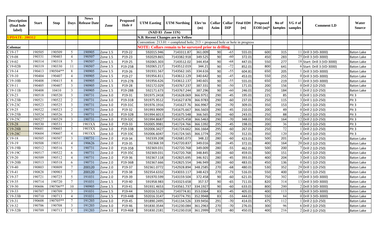| <b>Description</b><br>(final hole | <b>Start</b> | <b>Stop</b> |                 | <b>News</b><br><b>Davs</b> Release Date | Zone     | <b>Proposed</b><br>Hole # | <b>UTM Easting</b> | <b>UTM Northing</b>                                                              | Elev'tn<br>(m) | <b>Collar</b><br>Azim | Collar<br><b>DIP</b> | <b>Final EOH</b><br>(m) | <b>Proposed</b><br>$EOH(m)$ * | No of<br><b>Samples</b> | $VG \# of$<br>samples | <b>Comment LD</b>           | Water<br><b>Source</b> |
|-----------------------------------|--------------|-------------|-----------------|-----------------------------------------|----------|---------------------------|--------------------|----------------------------------------------------------------------------------|----------------|-----------------------|----------------------|-------------------------|-------------------------------|-------------------------|-----------------------|-----------------------------|------------------------|
| label)                            |              |             |                 |                                         |          |                           | (NAD 83 Zone 11N)  |                                                                                  |                |                       |                      |                         |                               |                         |                       |                             |                        |
| <b>UPDATE: 200312</b>             |              |             |                 |                                         |          |                           |                    | N.B. Recent Changes are in Yellow                                                |                |                       |                      |                         |                               |                         |                       |                             |                        |
|                                   |              |             |                 |                                         |          |                           |                    | Convention: $213.01$ = completed hole; $213$ = proposed hole or hole in progress |                |                       |                      |                         |                               |                         |                       |                             |                        |
| Colomac                           |              |             |                 |                                         |          |                           |                    | <b>NOTE: Collars remain to be surveyed prior to drilling.</b>                    |                |                       |                      |                         |                               |                         |                       |                             |                        |
| $C19-17$                          | 190505       | 190509      | 5 <sup>5</sup>  | 190905                                  | Zone 1.5 | P19-22                    | 592015.946         | 7143311.87                                                                       | 361.009        | 90                    | $-65$                | 555.01                  | 600                           | 315                     |                       | 11 Drill 3 (VD-3000)        | <b>Baton Lake</b>      |
| $C19-08$                          | 190331       | 190403      | $\overline{4}$  | 190507                                  | Zone 1.5 | P19-23                    | 592029.865         | 7143382.918                                                                      | 349.525        | 90                    | $-60$                | 372.01                  | 450                           | 283                     |                       | 25 Drill 3 (VD-3000)        | <b>Baton Lake</b>      |
| $C19-02$                          | 190314       | 190318      | 5               | 190507                                  | Zone 1.5 | P19-25                    | 592065.303         | 7143512.02                                                                       | 344.454        | 90                    | $-68$                | 447.01                  | 550                           | 277                     |                       | 18 Start: Drill 3 (VD-3000) | <b>Baton Lake</b>      |
| $C19-02B$                         | 190319       | 190330      | -11             | 190507                                  | Zone 1.5 | P19-25B                   | 592065.217         | 7143512.019                                                                      | 344.21         | 90                    | $-72$                | 852.01                  | 800                           | 641                     |                       | 6 Start: Drill 3 (VD-3000)  | <b>Baton Lake</b>      |
| $C19-14$                          | 190413       | 190504**    | 8               | 190905                                  | Zone 1.5 | P19-26                    | 591931.567         | 7143562.165                                                                      | 334.616        | 90                    | $-55$                | 604.81                  | 650                           | 205                     |                       | Drill 3 (VD-3000)           | Baton Lake             |
| $C19-10$                          | 190404       | 190407      | $\overline{4}$  | 190905                                  | Zone 1.5 | P19-27                    | 591956.811         | 7143612.129                                                                      | 340.642        | 90                    | $-45$                | 453.01                  | 550                           | 255                     |                       | 0 Drill 3 (VD-3000)         | <b>Baton Lake</b>      |
| $C19-10B$                         | 190408       | 190415      | 8               | 190905                                  | Zone 1.5 | P19-27B                   | 591956.626         | 7143612.137                                                                      | 340.601        | 90                    | $-55$                | 555.01                  | 650                           | 219                     |                       | 11 Drill 3 (VD-3000)        | <b>Baton Lake</b>      |
| $C19-11$                          | 190405       | 190407      | 3               | 190905                                  | Zone 1.5 | P19-28                    | 592172.029         | 7143767.237                                                                      | 387.331        | 90                    | $-50$                | 171.01                  | 200                           | 156                     |                       | 0 Drill 2 (LD-250)          | <b>Baton Lake</b>      |
| $C19-11B$                         | 190408       | 10410       | $\overline{3}$  | 190905                                  | Zone 1.5 | P19-28B                   | 592171.673         | 7143767.244                                                                      | 387.296        | 90                    | $-60$                | 246.01                  | 250                           | 184                     |                       | Drill 2 (LD-250)            | <b>Baton Lake</b>      |
| $C19-23$                          | 190518       | 190520      | $\mathbf{3}$    | 190731                                  | Zone 3.0 | P19-31                    | 591975.2418        | 7141628.069                                                                      | 366.9751       | 290                   | $-45$                | 195.01                  | 225                           | 85                      |                       | 0 Drill 1 (LD-250)          | Pit 3                  |
| $C19-23B$                         | 190521       | 190522      | 2               | 190731                                  | Zone 3.0 | P19-31B                   | 591975.9512        | 7141627.878                                                                      | 366.9783       | 290                   | $-60$                | 237.01                  | 250                           | 115                     |                       | 3 Drill 1 (LD-250)          | Pit 3                  |
| C19-23C                           | 190523       | 190525      | 3               | 190731                                  | Zone 3.0 | P19-31C                   | 591976.1916        | 7141627.76                                                                       | 366.9967       | 290                   | $-70$                | 309.01                  | 350                           | 153                     |                       | 2 Drill 1 (LD-250)          | Pit <sub>3</sub>       |
| $C19-25$                          | 190522       | 190523      | $\overline{2}$  | 190731                                  | Zone 3.0 | $P19-32$                  | 591993.9909        | 7141675.667                                                                      | 366.5603       | 290                   | $-45$                | 210.01                  | 200                           | 49                      |                       | 0 Drill 2 (LD-250)          | Pit <sub>3</sub>       |
| $C19-25B$                         | 150524       | 190526      | $\mathfrak{Z}$  | 190731                                  | Zone 3.0 | P19-32B                   | 591994.6013        | 7141675.548                                                                      | 366.565        | 290                   | $-60$                | 243.01                  | 250                           | 88                      |                       | 2 Drill 2 (LD-250)          | Pit <sub>3</sub>       |
| $C19-25C$                         | 190527       | 190529      | 3               | 190731                                  | Zone 3.0 | P19-32C                   | 591994.8687        | 7141675.458                                                                      | 366.5463       | 290                   | $-70$                | 348.01                  | 350                           | 164                     |                       | 12 Drill 2 (LD-250)         | Pit 3                  |
| $C19-28$                          | 190530       | 190531      | 2               | 1903XX                                  | Zone 3.0 | P19-33                    | 592005.9981        | 7141724.766                                                                      | 366.1392       | 295                   | $-45$                | 198.01                  | 200                           | 36                      |                       | 0 Drill 2 (LD-250)          | Pit 3                  |
| C19-28B                           | 190601       | 190603      | $\overline{3}$  | 1903XX                                  | Zone 3.0 | P19-33B                   | 592006.3427        | 7141724.662                                                                      | 366.1664       | 295                   | $-60$                | 267.01                  | 250                           | 72                      |                       | Drill 2 (LD-250)            | Pit 3                  |
| C <sub>19</sub> -28C              | 190604       | 190607      | $\overline{4}$  | 1903XX                                  | Zone 3.0 | P19-33C                   | 592006.6047        | 7141724.565                                                                      | 366.1774       | 295                   | $-70$                | 312.01                  | 350                           | 120                     |                       | 4 Drill 2 (LD-250)          | Pit <sub>3</sub>       |
| $C19-18$                          | 190505       | 190507      | $\overline{3}$  | 190731                                  | Zone 2.0 | P19-34                    | 592339.208         | 7142681.073                                                                      | 348.22         | 280                   | $-60$                | 423.01                  | 500                           | 201                     |                       | 8 Drill 1 (LD-250)          | <b>Baton Lake</b>      |
| $C19-19$                          | 190508       | 190511      | $\overline{4}$  | 190626                                  | Zone 2.0 | P19-35                    | 592368.59          | 7142720.837                                                                      | 349.016        | 280                   | $-45$                | 372.01                  | 400                           | 164                     |                       | 20 Drill 2 (LD-250)         | <b>Baton Lake</b>      |
| C19-19B                           | 190512       | 190516      | $5\overline{)}$ | 190731                                  | Zone 2.0 | P19-35B                   | 592369.031         | 7142720.768                                                                      | 349.009        | 280                   | $-55$                | 462.01                  | 500                           | 200                     |                       | Drill 2 (LD-250)            | <b>Baton Lake</b>      |
| C19-19C                           | 190517       | 190522      | 6               | 190731                                  | Zone 2.0 | P19-35C                   | 592369.031         | 7142720.768                                                                      | 348.845        | 280                   | $-60$                | 459.01                  | 500                           | 151                     |                       | Drill 2 (LD-250)            | <b>Baton Lake</b>      |
| $C19-20$                          | 190509       | 190512      | $\overline{4}$  | 190731                                  | Zone 2.0 | P19-36                    | 592367.118         | 7142825.695                                                                      | 346.921        | 280                   | $-45$                | 393.01                  | 400                           | 204                     |                       | 3 Drill 1 (LD-250)          | <b>Baton Lake</b>      |
| $C19-20B$                         | 190513       | 190518      | 6               | 190731                                  | Zone 2.0 | P19-36B                   | 592367.666         | 7142825.554                                                                      | 346.949        | 280                   | $-60$                | 483.01                  | 450                           | 136                     |                       | 0 Drill 1 (LD-250)          | <b>Baton Lake</b>      |
| $C19-40$                          | 190803       | 190809      | $\tau$          | 200120                                  | Zone 2.0 | P19-37                    | 592361.0772        | 7142928.894                                                                      | 348.2585       | 270                   | $-68$                | 480.01                  | 530                           | 352                     |                       | 29 Drill 1 (LD-250)         | <b>Baton Lake</b>      |
| $C19-41$                          | 190828       | 190903      | $\tau$          | 200120                                  | Zone 2.0 | P19-38                    | 592354.6332        | 7143033.117                                                                      | 348.423        | 270                   | $-73$                | 516.01                  | 550                           | 400                     |                       | 18 Drill 1 (LD-250)         | <b>Baton Lake</b>      |
| $C19-37$                          | 190721       | 190725      | $5\overline{)}$ | 191031                                  | Zone 2.0 | P19-39                    | 591970.599         | 7143159.504                                                                      | 372.458        | 90                    | $-60$                | 621.01                  | 750                           | $\overline{302}$        |                       | 19 Drill 3 (VD-3000)        | <b>Baton Lake</b>      |
| $C19-35$                          | 190714       | 190720      | $\tau$          | 191031                                  | Zone 1.5 | P19-40                    | 591958.983         | 7143323.658                                                                      | 357.57         | 90                    | $-65$                | 711.01                  | 820                           | 314                     |                       | 13 Drill 3 (VD-3000)        | <b>Baton Lake</b>      |
| $C19-30$                          | 190606       | 190706**    | 10              | 190905                                  | Zone 1.5 | P19-41                    | 591931.4653        | 7143561.737                                                                      | 334.1927       | 90                    | $-60$                | 633.01                  | 800                           | 200                     |                       | 2 Drill 3 (VD-3000)         | <b>Baton Lake</b>      |
| $C19-33$                          | 190707       | 190709      | $\overline{3}$  | 191031                                  | Zone 1.5 | P19-44                    | 592016.5126        | 7143774.81                                                                       | 353.0364       | 83                    | $-45$                | 405.01                  | 400                           | 113                     |                       | 0 Drill 3 (VD-3000)         | <b>Baton Lake</b>      |
| $C19-33B$                         | 190710       | 190713      | $\overline{4}$  | 191031                                  | Zone 1.5 | P19-44B                   | 592016.3147        | 7143774.791                                                                      | 352.9948       | 83                    | $-55$                | 444.01                  | 550                           | 84                      |                       | 0 Drill 3 (VD-3000)         | <b>Baton Lake</b>      |
| $C19-31$                          | 190608       | 190705**    | $\tau$          | 191203                                  | Zone 3.0 | P19-45                    | 591890.2495        | 7141134.526                                                                      | 339.9456       | 291                   | $-70$                | 414.01                  | 475                           | 112                     |                       | Drill 2 (LD-250)            | <b>Baton Lake</b>      |
| $C19-32$                          | 190706       | 190708      | 3               | 191203                                  | Zone 3.0 | P19-46                    | 591830.3544        | 7141230.084                                                                      | 361.2963       | 270                   | $-70$                | 276.01                  | 300                           | 96                      |                       | 6 Drill 2 (LD-250)          | Baton Lake             |
| $C19-32B$                         | 190709       | 190713      | 5               | 191203                                  | Zone 3.0 | P19-46B                   | 591830.2181        | 7141230.018                                                                      | 361.2999       | 270                   | $-80$                | 450.01                  | 400                           | $\frac{216}{ }$         |                       | 2 Drill 2 (LD-250)          | <b>Baton Lake</b>      |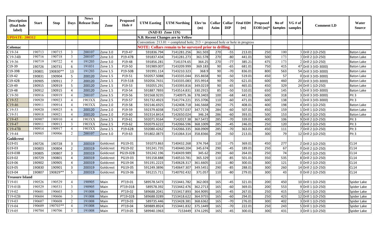| <b>Description</b><br>(final hole | <b>Start</b> | <b>Stop</b> |                | <b>News</b><br><b>Davs</b> Release Date | Zone      | <b>Proposed</b><br>Hole # | <b>UTM Easting</b> | <b>UTM Northing</b>                                                              | Elev'tn<br>(m) | <b>Collar</b><br>Azim | Collar<br><b>DIP</b> | <b>Final EOH</b><br>(m) | Proposed<br>$EOH(m)*$ | No of<br><b>Samples</b> | VG # of<br>samples | <b>Comment LD</b>    | Water<br>Source   |
|-----------------------------------|--------------|-------------|----------------|-----------------------------------------|-----------|---------------------------|--------------------|----------------------------------------------------------------------------------|----------------|-----------------------|----------------------|-------------------------|-----------------------|-------------------------|--------------------|----------------------|-------------------|
| label)                            |              |             |                |                                         |           |                           | (NAD 83 Zone 11N)  |                                                                                  |                |                       |                      |                         |                       |                         |                    |                      |                   |
| <b>UPDATE: 200312</b>             |              |             |                |                                         |           |                           |                    | N.B. Recent Changes are in Yellow                                                |                |                       |                      |                         |                       |                         |                    |                      |                   |
|                                   |              |             |                |                                         |           |                           |                    | Convention: $213.01$ = completed hole; $213$ = proposed hole or hole in progress |                |                       |                      |                         |                       |                         |                    |                      |                   |
| Colomac                           |              |             |                |                                         |           |                           |                    | <b>NOTE: Collars remain to be surveyed prior to drilling.</b>                    |                |                       |                      |                         |                       |                         |                    |                      |                   |
| $C19-34$                          | 190713       | 190715      | $\overline{3}$ | 200107                                  | Zone 3.0  | P19-47                    | 591836.794         | 7141281.256                                                                      | 361.503        | 270                   | $-55$                | 213.01                  | 250                   | 100                     |                    | 3 Drill 2 (LD-250)   | <b>Baton Lake</b> |
| C19-34B                           | 190716       | 190718      | $\overline{3}$ | 200107                                  | Zone 3.0  | P19-47B                   | 591837.434         | 7141281.273                                                                      | 361.578        | 270                   | $-80$                | 441.01                  | 500                   | 173                     |                    | 3 Drill 2 (LD-250)   | <b>Baton Lake</b> |
| $C19-36$                          | 190719       | 190722      | $\overline{4}$ | 191203                                  | Zone 3.0  | P19-48                    | 591856.281         | 7141374.65                                                                       | 364.25         | 270                   | $-77$                | 385.21                  | 475                   | 173                     |                    | 2 Drill 2 (LD-250)   | <b>Baton Lake</b> |
| C19-39                            | 190726       | 190731      | 6              | 191031                                  | Zone 1.5  | P19-50                    | 591989.007         | 7143209.999                                                                      | 369.183        | 90                    | $-65$                | 681.01                  | 750                   | 415                     |                    | 47 Drill 3 (VD-3000) | <b>Baton Lake</b> |
| C19-39B                           | 190801       | 190830**    | 13             | 191203                                  | Zone 1.5  | P19-50B                   | 591991.114         | 7143210.323                                                                      | 368.9          | 90                    | $-70$                | 836.01                  | 800                   | 563                     |                    | 54 Drill 3 (VD-3000) | <b>Baton Lake</b> |
| $C19-42$                          | 190831       | 190904      | 5              | 200120                                  | Zone 1.5  | P19-51                    | 592057.5088        | 7143335.044                                                                      | 355.8658       | 90                    | $-50$                | 519.01                  | 450                   | 57                      |                    | 0 Drill 3 (VD-3000)  | <b>Baton Lake</b> |
| C19-42B                           | 190905       | 190911      | $\overline{7}$ | 200120                                  | Zone 1.5  | P19-51B                   | 592056.7431        | 7143335.083                                                                      | 355.9914       | 90                    | $-70$                | 621.01                  | 600                   | 460                     |                    | 20 Drill 3 (VD-3000) | <b>Baton Lake</b> |
| C19-49                            | 190915       | 190919      | 5              | 200120                                  | Zone 1.5  | P19-53                    | 592055.291         | 7143393.816                                                                      | 349.0219       | 90                    | $-65$                | 465.01                  | 450                   | 329                     |                    | 24 Drill 1 (LD-250)  | <b>Baton Lake</b> |
| C19-48                            | 190912       | 190915      | 4              | 200120                                  | Zone 1.5  | P19-54                    | 591887.7893        | 7143514.831                                                                      | 330.2915       | 85                    | $-50$                | 510.01                  | 650                   | 145                     |                    | Drill 3 (VD-3000)    | <b>Baton Lake</b> |
| $C19-50$                          | 190916       | 190919      | $\overline{4}$ | 200107                                  | Zone 3.5  | P19-56                    | 591568.9235        | 7140975.36                                                                       | 378.3403       | 100                   | $-68$                | 441.01                  | 600                   | 318                     |                    | 3 Drill 3 (VD-3000)  | Pit <sub>3</sub>  |
| $C19-52$                          | 190920       | 190923      | $\overline{4}$ | 1903XX                                  | Zone 2.5  | P19-57                    | 591732.4923        | 7141774.221                                                                      | 355.3706       | 110                   | $-60$                | 471.01                  | 600                   | 138                     |                    | 1 Drill 3 (VD-3000)  | Pit 3             |
| $C19-46$                          | 190911       | 190914      | $\overline{4}$ | 1903XX                                  | Zone 2.0  | P19-58                    | 592146.6925        | 7142408.718                                                                      | 346.5668       | 290                   | $-75$                | 408.01                  | 400                   | 198                     |                    | 4 Drill 1 (LD-250)   | <b>Baton Lake</b> |
| $C19-53$                          | 190920       | 190925      | 6              | 200120                                  | Zone 2.0  | P19-59                    | 592379.6038        | 7142757.037                                                                      | 347.7174       | 284                   | $-60$                | 507.01                  | 450                   | 159                     |                    | 1 Drill 1 (LD-250)   | <b>Baton Lake</b> |
| $C19-51$                          | 190918       | 190921      | $\overline{4}$ | 200120                                  | Zone 2.0  | P19-60                    | 592314.8414        | 7142650.024                                                                      | 346.24         | 286                   | $-60$                | 393.01                  | 500                   | 153                     |                    | 8 Drill 2 (LD-250)   | <b>Baton Lake</b> |
| $C19-45$                          | 190907       | 190910      | $\overline{4}$ | 1903XX                                  | Zone 2.5  | P19-61                    | 592071.9164        | 7142017.38                                                                       | 367.5472       | 285                   | $-70$                | 339.01                  | 400                   | 106                     |                    | 9 Drill 2 (LD-250)   | Pit <sub>3</sub>  |
| $C19-47$                          | 190911       | 190913      | $\overline{3}$ | 1903XX                                  | Zone 2.5  | P19-62                    | 592079.6222        | 7142066.596                                                                      | 368.1009       | 285                   | $-45$                | 246.01                  | 250                   | 120                     |                    | 2 Drill 2 (LD-250)   | Pit 3             |
| C <sub>19</sub> -47 <sub>B</sub>  | 190914       | 190917      | $\overline{4}$ | 1903XX                                  | Zone 2.5  | P19-62B                   | 592080.4262        | 7142066.335                                                                      | 368.0909       | 285                   | $-70$                | 363.01                  | 450                   | 111                     |                    | 7 Drill 2 (LD-250)   | Pit <sub>3</sub>  |
| $C19-44$                          | 190905       | 190906      | 2              | 200107                                  | Zone 3.0  | P19-63                    | 591802.0873        | 7141064.314                                                                      | 358.8366       | 298                   | $-50$                | 213.01                  | 300                   | 79                      |                    | 12 Drill 2 (LD-250)  | Pit <sub>3</sub>  |
| Goldcrest                         |              |             |                |                                         |           |                           |                    |                                                                                  |                |                       |                      |                         |                       |                         |                    |                      |                   |
| G19-01                            | 190726       | 190728      | $\overline{3}$ | 200319                                  | Goldcrest | PG19-01                   | 591073.863         | 7140432.268                                                                      | 374.764        | 110                   | $-75$                | 369.01                  | 450                   | 277                     |                    | 2 Drill 2 (LD-250)   | <b>CL14</b>       |
| G19-03                            | 190803       | 190804      | $\overline{2}$ | 200319                                  | Goldcrest | PG19-02                   | 591241.735         | 7140440.204                                                                      | 345.674        | 290                   | $-45$                | 189.01                  | 250                   | 67                      |                    | 0 Drill 2 (LD-250)   | CL14              |
| G19-03B                           | 190805       | 190807      | 3              | 200319                                  | Goldcrest | PG19-02B                  | 591242.196         | 7140439.989                                                                      | 345.62         | 290                   | $-60$                | 264.01                  | 250                   | $\overline{74}$         |                    | 2 Drill 2 (LD-250)   | <b>CL14</b>       |
| G19-02                            | 190729       | 190801      | $\overline{4}$ | 200319                                  | Goldcrest | PG19-03                   | 591158.888         | 7140510.781                                                                      | 365.329        | 110                   | $-85$                | 501.01                  | 350                   | 535                     |                    | 8 Drill 2 (LD-250)   | <b>CL14</b>       |
| G19-06                            | 190902       | 190905      | $\overline{4}$ | 200319                                  | Goldcrest | PG19-04                   | 591191.2223        | 7140628.317                                                                      | 361.6605       | 110                   | $-80$                | 300.01                  | 300                   | 121                     |                    | 0 Drill 2 (LD-250)   | CL14              |
| G19-05                            | 190830       | 190901      | $\mathbf{3}$   | 200319                                  | Goldcrest | PG19-05                   | 591249.3896        | 7140647.307                                                                      | 349.5451       | 290                   | $-85$                | 288.01                  | 300                   | 260                     |                    | 14 Drill 2 (LD-250)  | <b>CL14</b>       |
| G19-04                            | 190807       | 190829**    | 5              | 200319                                  | Goldcrest | PG19-06                   | 591215.711         | 7140792.432                                                                      | 371.057        | 110                   | $-80$                | 279.01                  | 300                   | 43                      |                    | 0 Drill 2 (LD-250)   | <b>CL14</b>       |
| <b>Treasure Island</b>            |              |             |                |                                         |           |                           |                    |                                                                                  |                |                       |                      |                         |                       |                         |                    |                      |                   |
| T19-01                            | 190526       | 190529      | $\overline{4}$ | 190905                                  | Main      | PT19-01                   | 589578.5473        | 7153441.782                                                                      | 362.003        | 165                   | $-45$                | 321.01                  | 200                   | 450                     |                    | 10 Drill 1 (LD-250)  | Spider Lake       |
| T19-01B                           | 190529       | 190531      | $\overline{3}$ | 190905                                  | Main      | PT19-01B                  | 589578.392         | 7153442.476                                                                      | 362.2713       | 165                   | $-60$                | 369.01                  | 200                   | 553                     |                    | 9 Drill 1 (LD-250)   | Spider Lake       |
| T19-02                            | 190601       | 190603      | $\mathbf{3}$   | 191008                                  | Main      | PT19-02                   | 589688.2041        | 7153417.893                                                                      | 364.9095       | 165                   | $-45$                | 267.01                  | 250                   | 415                     |                    | 12 Drill 1 (LD-250)  | Spider Lake       |
| T19-02B                           | 190604       | 190606      | $\mathbf{3}$   | 191008                                  | Main      | PT19-02B                  | 589688.0289        | 7153418.622                                                                      | 364.9755       | 165                   | $-60$                | 294.01                  | 250                   | 423                     |                    | 12 Drill 1 (LD-250)  | Spider Lake       |
| T19-03                            | 190607       | 190608      | 2              | 191008                                  | Main      | PT19-03                   | 589735.446         | 7153428.381                                                                      | 368.6362       | 165                   | $-70$                | 276.01                  | 300                   | 402                     |                    | 3 Drill 1 (LD-250)   | Spider Lake       |
| T19-04                            | 190609       | 190703**    | $\overline{4}$ | 191008                                  | Main      | PT19-04                   | 589889.8924        | 7153441.832                                                                      | 375.1449       | 165                   | $-70$                | 222.01                  | 250                   | 243                     |                    | 5 Drill 1 (LD-250)   | Spider Lake       |
| T19-05                            | 190704       | 190706      | $\overline{3}$ | 191008                                  | Main      | PT19-05                   | 589940.1963        | 7153449                                                                          | 374.1295       | 165                   | $-45$                | 300.01                  | 300                   | 431                     |                    | 3 Drill 1 (LD-250)   | Spider Lake       |